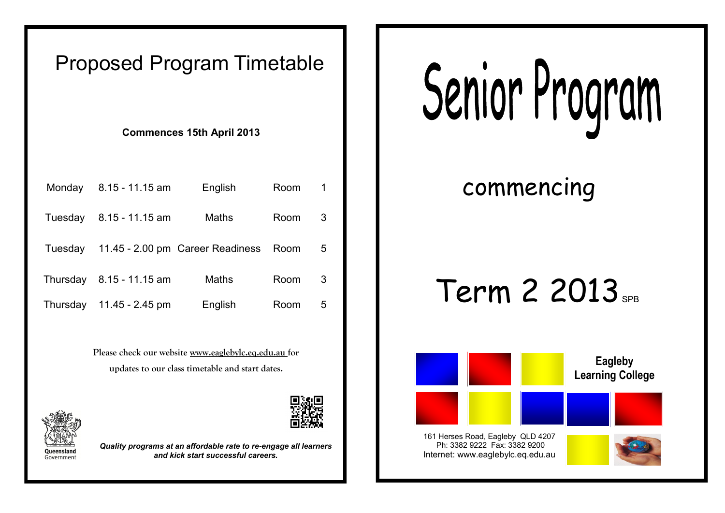### Proposed Program Timetable

**Commences 15th April 2013**

| Monday   | $8.15 - 11.15$ am | English                          | Room | $\mathbf 1$ |
|----------|-------------------|----------------------------------|------|-------------|
| Tuesday  | $8.15 - 11.15$ am | Maths                            | Room | 3           |
| Tuesday  |                   | 11.45 - 2.00 pm Career Readiness | Room | 5.          |
| Thursday | $8.15 - 11.15$ am | Maths                            | Room | 3           |
| Thursday | 11.45 - $2.45$ pm | English                          | Room | 5           |

**Please check our website www.eaglebylc.eq.edu.au for updates to our class timetable and start dates.**



*Quality programs at an affordable rate to re-engage all learners and kick start successful careers.*

# Senior Program

commencing

## Term 2 2013<sub>SPB</sub>



Ph: 3382 9222 Fax: 3382 9200 Internet: www.eaglebylc.eq.edu.au